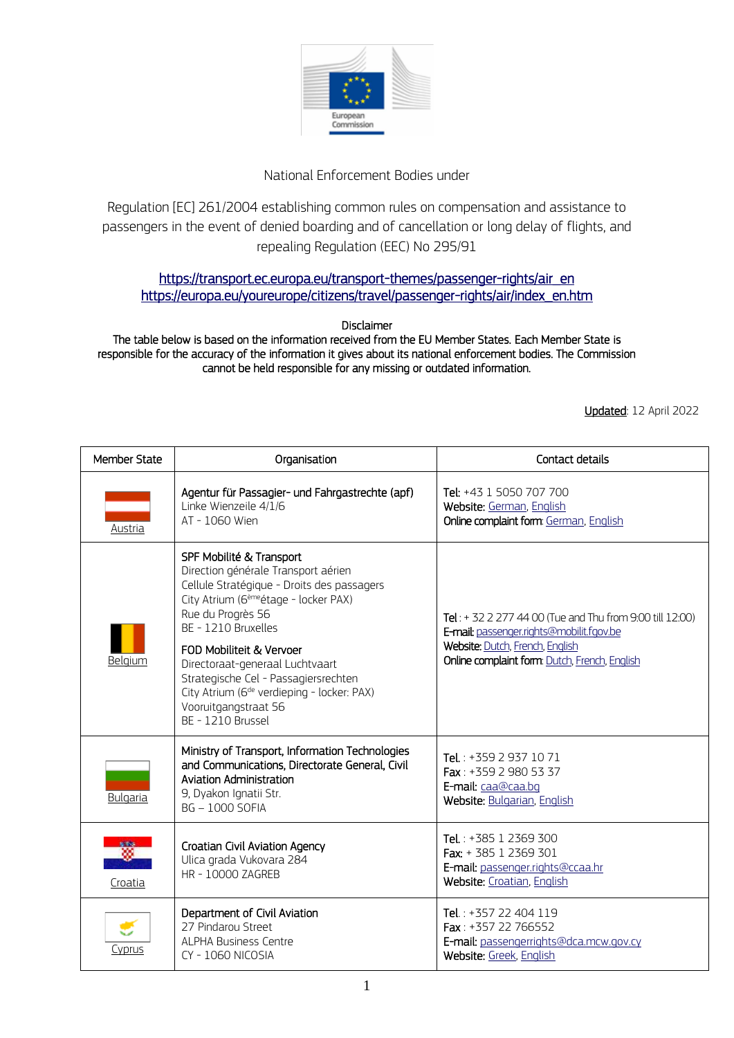

## National Enforcement Bodies under

Regulation [EC] 261/2004 establishing common rules on compensation and assistance to passengers in the event of denied boarding and of cancellation or long delay of flights, and repealing Regulation (EEC) No 295/91

## [https://transport.ec.europa.eu/transport-themes/passenger-rights/air\\_en](https://transport.ec.europa.eu/transport-themes/passenger-rights/air_en)  [https://europa.eu/youreurope/citizens/travel/passenger-rights/air/index\\_en.htm](https://europa.eu/youreurope/citizens/travel/passenger-rights/air/index_en.htm)

Disclaimer

The table below is based on the information received from the EU Member States. Each Member State is responsible for the accuracy of the information it gives about its national enforcement bodies. The Commission cannot be held responsible for any missing or outdated information.

Updated: 12 April 2022

| <b>Member State</b> | Organisation                                                                                                                                                                                                                                                                  | Contact details                                                                                                                                                                       |
|---------------------|-------------------------------------------------------------------------------------------------------------------------------------------------------------------------------------------------------------------------------------------------------------------------------|---------------------------------------------------------------------------------------------------------------------------------------------------------------------------------------|
| Austria             | Agentur für Passagier- und Fahrgastrechte (apf)<br>Linke Wienzeile 4/1/6<br>AT - 1060 Wien                                                                                                                                                                                    | Tel: +43 1 5050 707 700<br>Website: German, English<br>Online complaint form: German, English                                                                                         |
| Belgium             | SPF Mobilité & Transport<br>Direction générale Transport aérien<br>Cellule Stratégique - Droits des passagers<br>City Atrium (6 <sup>ème</sup> étage - locker PAX)<br>Rue du Progrès 56<br>BE - 1210 Bruxelles<br>FOD Mobiliteit & Vervoer<br>Directoraat-generaal Luchtvaart | Tel: $+3222774400$ (Tue and Thu from 9:00 till 12:00)<br>E-mail: passenger.rights@mobilit.fgov.be<br>Website: Dutch, French, English<br>Online complaint form: Dutch, French, English |
|                     | Strategische Cel - Passagiersrechten<br>City Atrium (6 <sup>de</sup> verdieping - locker: PAX)<br>Vooruitgangstraat 56<br>BE - 1210 Brussel                                                                                                                                   |                                                                                                                                                                                       |
| <b>Bulgaria</b>     | Ministry of Transport, Information Technologies<br>and Communications, Directorate General, Civil<br>Aviation Administration<br>9, Dyakon Ignatii Str.<br><b>BG-1000 SOFIA</b>                                                                                                | Tel.: +359 2 937 10 71<br>Fax: +359 2 980 53 37<br>E-mail: caa@caa.bq<br>Website: Bulgarian, English                                                                                  |
| ▩<br>Croatia        | Croatian Civil Aviation Agency<br>Ulica grada Vukovara 284<br>HR - 10000 ZAGREB                                                                                                                                                                                               | Tel.: +385 1 2369 300<br>Fax: + 385 1 2369 301<br>E-mail: passenger.rights@ccaa.hr<br>Website: Croatian, English                                                                      |
| Cyprus              | Department of Civil Aviation<br>27 Pindarou Street<br><b>ALPHA Business Centre</b><br>CY-1060 NICOSIA                                                                                                                                                                         | Tel.: +357 22 404 119<br>Fax: +357 22 766552<br>E-mail: passengerrights@dca.mcw.gov.cy<br>Website: Greek, English                                                                     |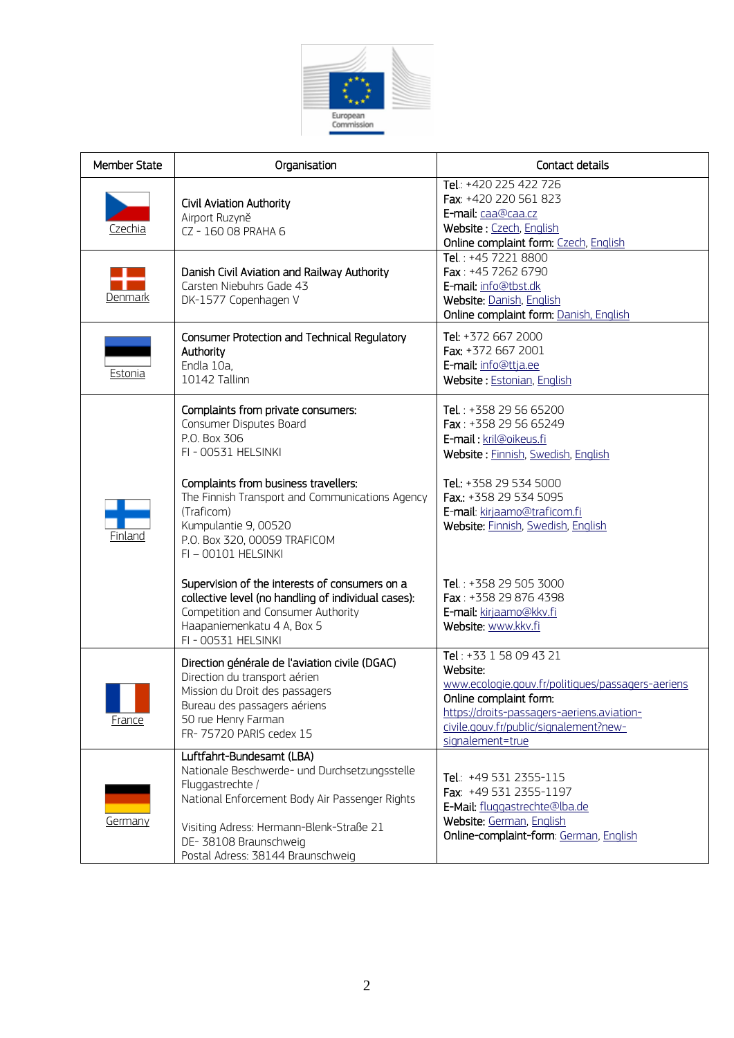

| <b>Member State</b> | Organisation                                                                                                                                                                                                                                                                                                                                                                                                                                                                                   | Contact details                                                                                                                                                                                                                                                                                                                                |
|---------------------|------------------------------------------------------------------------------------------------------------------------------------------------------------------------------------------------------------------------------------------------------------------------------------------------------------------------------------------------------------------------------------------------------------------------------------------------------------------------------------------------|------------------------------------------------------------------------------------------------------------------------------------------------------------------------------------------------------------------------------------------------------------------------------------------------------------------------------------------------|
| Czechia             | Civil Aviation Authority<br>Airport Ruzyně<br>CZ - 160 08 PRAHA 6                                                                                                                                                                                                                                                                                                                                                                                                                              | Tel.: +420 225 422 726<br>Fax: +420 220 561 823<br>E-mail: caa@caa.cz<br>Website: Czech, English<br>Online complaint form: Czech, English                                                                                                                                                                                                      |
| Denmark             | Danish Civil Aviation and Railway Authority<br>Carsten Niebuhrs Gade 43<br>DK-1577 Copenhagen V                                                                                                                                                                                                                                                                                                                                                                                                | Tel.: +45 7221 8800<br>Fax: +45 7262 6790<br>E-mail: info@tbst.dk<br>Website: Danish, English<br>Online complaint form: Danish, English                                                                                                                                                                                                        |
| Estonia             | Consumer Protection and Technical Regulatory<br>Authority<br>Endla 10a,<br>10142 Tallinn                                                                                                                                                                                                                                                                                                                                                                                                       | Tel: +372 667 2000<br>Fax: +372 667 2001<br>E-mail: info@ttja.ee<br>Website: Estonian, English                                                                                                                                                                                                                                                 |
| Finland             | Complaints from private consumers:<br>Consumer Disputes Board<br>P.O. Box 306<br>FI - 00531 HELSINKI<br>Complaints from business travellers:<br>The Finnish Transport and Communications Agency<br>(Traficom)<br>Kumpulantie 9, 00520<br>P.O. Box 320, 00059 TRAFICOM<br>FI-00101 HELSINKI<br>Supervision of the interests of consumers on a<br>collective level (no handling of individual cases):<br>Competition and Consumer Authority<br>Haapaniemenkatu 4 A, Box 5<br>FI - 00531 HELSINKI | Tel.: +358 29 56 65200<br>Fax: +358 29 56 65249<br>E-mail: kril@oikeus.fi<br>Website: Finnish, Swedish, English<br>Tel.: +358 29 534 5000<br>Fax.: +358 29 534 5095<br>E-mail: kirjaamo@traficom.fi<br>Website: Finnish, Swedish, English<br>Tel.: +358 29 505 3000<br>Fax: +358 29 876 4398<br>E-mail: kirjaamo@kkv.fi<br>Website: www.kkv.fi |
| France              | Direction générale de l'aviation civile (DGAC)<br>Direction du transport aérien<br>Mission du Droit des passagers<br>Bureau des passagers aériens<br>50 rue Henry Farman<br>FR-75720 PARIS cedex 15                                                                                                                                                                                                                                                                                            | Tel: +33 1 58 09 43 21<br>Website:<br>www.ecologie.gouv.fr/politiques/passagers-aeriens<br>Online complaint form:<br>https://droits-passagers-aeriens.aviation-<br>civile.gouv.fr/public/signalement?new-<br>signalement=true                                                                                                                  |
| Germany             | Luftfahrt-Bundesamt (LBA)<br>Nationale Beschwerde- und Durchsetzungsstelle<br>Fluggastrechte /<br>National Enforcement Body Air Passenger Rights<br>Visiting Adress: Hermann-Blenk-Straße 21<br>DE-38108 Braunschweig<br>Postal Adress: 38144 Braunschweig                                                                                                                                                                                                                                     | Tel.: +49 531 2355-115<br>Fax: +49 531 2355-1197<br>E-Mail: fluggastrechte@lba.de<br>Website: German, English<br>Online-complaint-form: German, English                                                                                                                                                                                        |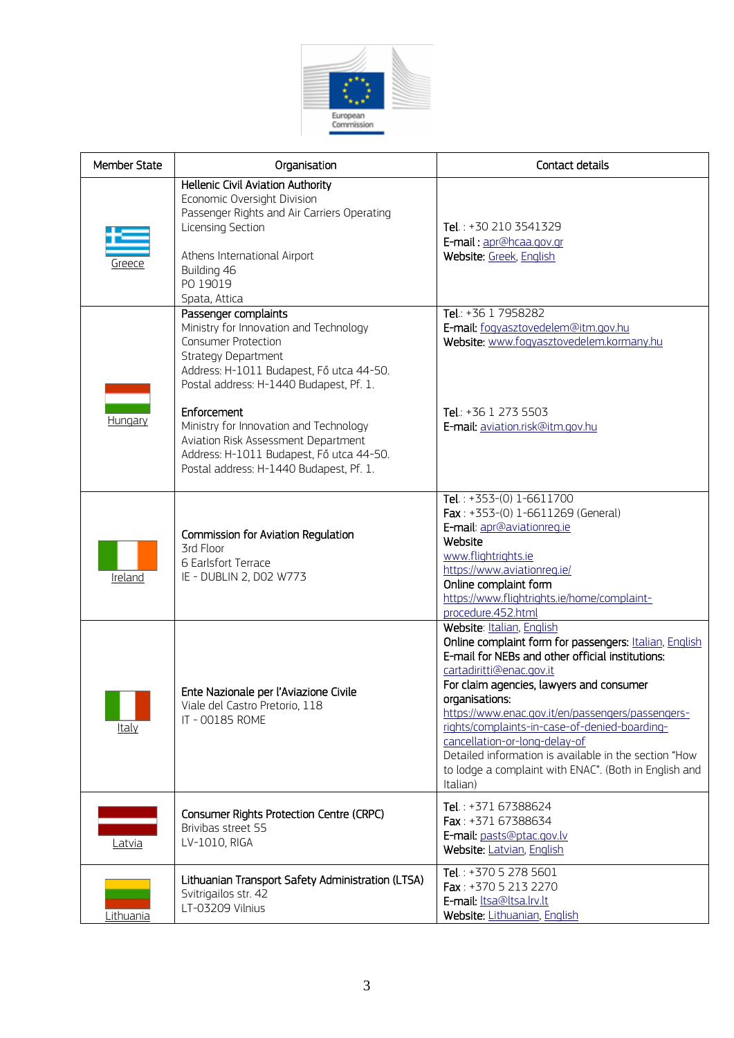

| <b>Member State</b> | Organisation                                                                                                                                                                                                                                                                                                                                                                                             | Contact details                                                                                                                                                                                                                                                                                                                                                                                                                                                                                        |
|---------------------|----------------------------------------------------------------------------------------------------------------------------------------------------------------------------------------------------------------------------------------------------------------------------------------------------------------------------------------------------------------------------------------------------------|--------------------------------------------------------------------------------------------------------------------------------------------------------------------------------------------------------------------------------------------------------------------------------------------------------------------------------------------------------------------------------------------------------------------------------------------------------------------------------------------------------|
| Greece              | Hellenic Civil Aviation Authority<br>Economic Oversight Division<br>Passenger Rights and Air Carriers Operating<br>Licensing Section<br>Athens International Airport<br>Building 46<br>PO 19019<br>Spata, Attica                                                                                                                                                                                         | Tel.: +30 210 3541329<br>E-mail: apr@hcaa.gov.gr<br>Website: Greek, English                                                                                                                                                                                                                                                                                                                                                                                                                            |
| Hungary             | Passenger complaints<br>Ministry for Innovation and Technology<br><b>Consumer Protection</b><br><b>Strategy Department</b><br>Address: H-1011 Budapest, Fő utca 44-50.<br>Postal address: H-1440 Budapest, Pf. 1.<br>Enforcement<br>Ministry for Innovation and Technology<br>Aviation Risk Assessment Department<br>Address: H-1011 Budapest, Fő utca 44-50.<br>Postal address: H-1440 Budapest, Pf. 1. | Tel.: +36 1 7958282<br>E-mail: fogyasztovedelem@itm.gov.hu<br>Website: www.fogyasztovedelem.kormany.hu<br>Tel.: $+36$ 1 273 5503<br>E-mail: aviation.risk@itm.gov.hu                                                                                                                                                                                                                                                                                                                                   |
| Ireland             | Commission for Aviation Regulation<br>3rd Floor<br>6 Earlsfort Terrace<br>IE - DUBLIN 2, DO2 W773                                                                                                                                                                                                                                                                                                        | Tel.: $+353-(0)$ 1-6611700<br>Fax: $+353-(0)$ 1-6611269 (General)<br>E-mail: apr@aviationreg.ie<br>Website<br>www.flightrights.ie<br>https://www.aviationreg.ie/<br>Online complaint form<br>https://www.flightrights.ie/home/complaint-<br>procedure.452.html                                                                                                                                                                                                                                         |
| Italy               | Ente Nazionale per l'Aviazione Civile<br>Viale del Castro Pretorio, 118<br>IT - 00185 ROME                                                                                                                                                                                                                                                                                                               | Website: Italian, English<br>Online complaint form for passengers: Italian, English<br>E-mail for NEBs and other official institutions:<br>cartadiritti@enac.gov.it<br>For claim agencies, lawyers and consumer<br>organisations:<br>https://www.enac.gov.it/en/passengers/passengers-<br>rights/complaints-in-case-of-denied-boarding-<br>cancellation-or-long-delay-of<br>Detailed information is available in the section "How<br>to lodge a complaint with ENAC". (Both in English and<br>Italian) |
| Latvia              | Consumer Rights Protection Centre (CRPC)<br>Brivibas street 55<br>LV-1010, RIGA                                                                                                                                                                                                                                                                                                                          | Tel.: $+37167388624$<br>Fax: +371 67388634<br>E-mail: pasts@ptac.gov.lv<br>Website: Latvian, English                                                                                                                                                                                                                                                                                                                                                                                                   |
| Lithuania           | Lithuanian Transport Safety Administration (LTSA)<br>Svitrigailos str. 42<br>LT-03209 Vilnius                                                                                                                                                                                                                                                                                                            | Tel.: +370 5 278 5601<br>Fax: +370 5 213 2270<br>E-mail: Itsa@Itsa.Irv.It<br>Website: Lithuanian, English                                                                                                                                                                                                                                                                                                                                                                                              |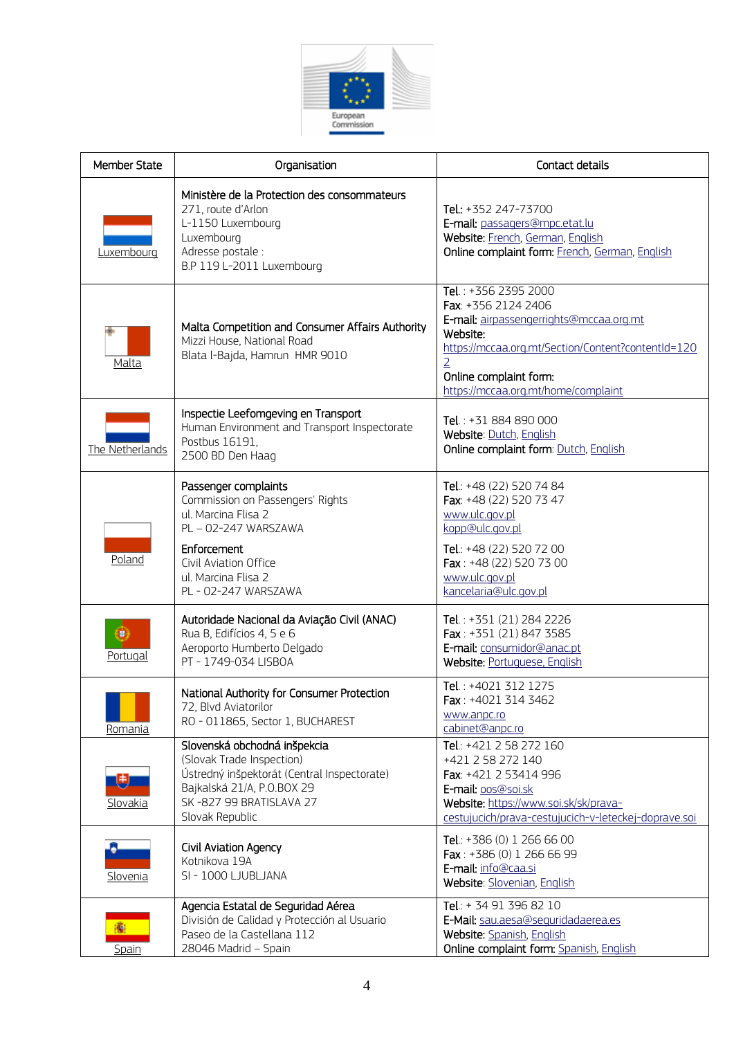

| <b>Member State</b> | Organisation                                                                                                                                                                                 | Contact details                                                                                                                                                                                                                             |
|---------------------|----------------------------------------------------------------------------------------------------------------------------------------------------------------------------------------------|---------------------------------------------------------------------------------------------------------------------------------------------------------------------------------------------------------------------------------------------|
| Luxembourg          | Ministère de la Protection des consommateurs<br>271, route d'Arlon<br>L-1150 Luxembourg<br>Luxembourg<br>Adresse postale :<br>B.P 119 L-2011 Luxembourg                                      | Tel.: +352 247-73700<br>E-mail: passagers@mpc.etat.lu<br>Website: French, German, English<br>Online complaint form: French, German, English                                                                                                 |
| Malta               | Malta Competition and Consumer Affairs Authority<br>Mizzi House, National Road<br>Blata l-Bajda, Hamrun HMR 9010                                                                             | Tel.: +356 2395 2000<br>Fax: +356 2124 2406<br>E-mail: airpassengerrights@mccaa.org.mt<br>Website:<br>https://mccaa.org.mt/Section/Content?contentId=120<br>$\overline{2}$<br>Online complaint form:<br>https://mccaa.org.mt/home/complaint |
| The Netherlands     | Inspectie Leefomgeving en Transport<br>Human Environment and Transport Inspectorate<br>Postbus 16191,<br>2500 BD Den Haag                                                                    | Tel.: +31 884 890 000<br>Website: Dutch, English<br>Online complaint form: Dutch, English                                                                                                                                                   |
| Poland              | Passenger complaints<br>Commission on Passengers' Rights<br>ul. Marcina Flisa 2<br>PL-02-247 WARSZAWA<br>Enforcement<br>Civil Aviation Office<br>ul. Marcina Flisa 2<br>PL - 02-247 WARSZAWA | Tel.: +48 (22) 520 74 84<br>Fax: +48 (22) 520 73 47<br>www.ulc.gov.pl<br>kopp@ulc.gov.pl<br>Tel.: +48 (22) 520 72 00<br>Fax: +48 (22) 520 73 00<br>www.ulc.gov.pl<br>kancelaria@ulc.gov.pl                                                  |
| Portugal            | Autoridade Nacional da Aviação Civil (ANAC)<br>Rua B, Edifícios 4, 5 e 6<br>Aeroporto Humberto Delgado<br>PT - 1749-034 LISBOA                                                               | Tel.: +351 (21) 284 2226<br>Fax: $+351(21)8473585$<br>E-mail: consumidor@anac.pt<br>Website: Portuguese, English                                                                                                                            |
| Romania             | National Authority for Consumer Protection<br>72, Blvd Aviatorilor<br>RO - 011865, Sector 1, BUCHAREST                                                                                       | Tel.: +4021 312 1275<br>Fax: +4021 314 3462<br>www.anpc.ro<br>cabinet@anpc.ro                                                                                                                                                               |
| Slovakia            | Slovenská obchodná inšpekcia<br>(Slovak Trade Inspection)<br>Ústredný inšpektorát (Central Inspectorate)<br>Bajkalská 21/A, P.O.BOX 29<br>SK-827 99 BRATISLAVA 27<br>Slovak Republic         | Tel.: +421 2 58 272 160<br>+421 2 58 272 140<br>Fax: +421 2 53414 996<br>E-mail: 005@soi.sk<br>Website: https://www.soi.sk/sk/prava-<br>cestujucich/prava-cestujucich-v-leteckej-doprave.soi                                                |
| Slovenia            | Civil Aviation Agency<br>Kotnikova 19A<br>SI - 1000 LJUBLJANA                                                                                                                                | Tel.: +386 (0) 1 266 66 00<br>Fax: $+386(0)$ 1 266 66 99<br>E-mail: info@caa.si<br>Website: Slovenian, English                                                                                                                              |
| 癟<br><b>Spain</b>   | Agencia Estatal de Seguridad Aérea<br>División de Calidad y Protección al Usuario<br>Paseo de la Castellana 112<br>28046 Madrid - Spain                                                      | Tel.: + 34 91 396 82 10<br>E-Mail: sau.aesa@sequridadaerea.es<br>Website: Spanish, English<br>Online complaint form: Spanish, English                                                                                                       |